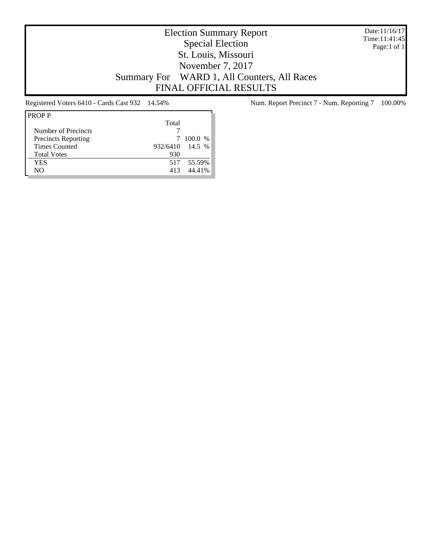Date:11/16/17 Time:11:41:45 Page:1 of 1

# Election Summary Report Special Election St. Louis, Missouri November 7, 2017 Summary For WARD 1, All Counters, All Races FINAL OFFICIAL RESULTS

| Total |                 |
|-------|-----------------|
|       |                 |
|       | 100.0 %         |
|       |                 |
| 930   |                 |
|       | 517 55.59%      |
| 413   | 44.41%          |
|       | 932/6410 14.5 % |

Registered Voters 6410 - Cards Cast 932 14.54% Num. Report Precinct 7 - Num. Reporting 7 100.00%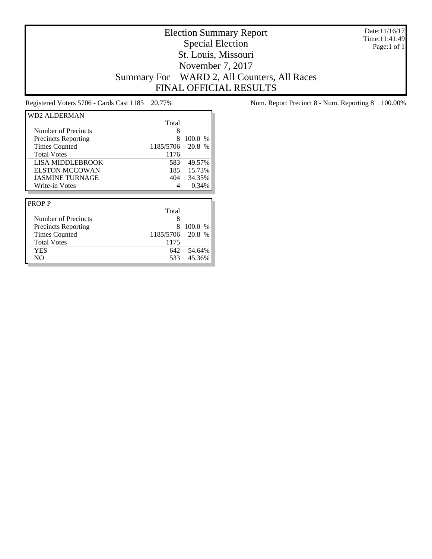Date:11/16/17 Time:11:41:49 Page:1 of 1

# Election Summary Report Special Election St. Louis, Missouri November 7, 2017 Summary For WARD 2, All Counters, All Races FINAL OFFICIAL RESULTS

| WD2 ALDERMAN               |           |         |
|----------------------------|-----------|---------|
|                            | Total     |         |
| Number of Precincts        | 8         |         |
| <b>Precincts Reporting</b> | 8         | 100.0 % |
| <b>Times Counted</b>       | 1185/5706 | 20.8 %  |
| <b>Total Votes</b>         | 1176      |         |
| LISA MIDDLEBROOK           | 583       | 49.57%  |
| <b>ELSTON MCCOWAN</b>      | 185       | 15.73%  |
| <b>JASMINE TURNAGE</b>     | 404       | 34.35%  |
| Write-in Votes             | 4         | 0.34%   |
|                            |           |         |
| <b>PROPP</b>               |           |         |
|                            | Total     |         |
| Number of Precincts        | 8         |         |
| <b>Precincts Reporting</b> | 8         | 100.0%  |
| <b>Times Counted</b>       | 1185/5706 | 20.8 %  |
| <b>Total Votes</b>         | 1175      |         |
| YES                        | 642       | 54.64%  |
| NO                         | 533       | 45.36%  |

Registered Voters 5706 - Cards Cast 1185 20.77% Num. Report Precinct 8 - Num. Reporting 8 100.00%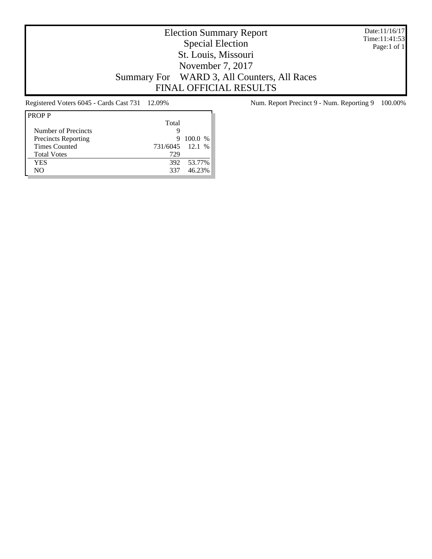Date:11/16/17 Time:11:41:53 Page:1 of 1

# Election Summary Report Special Election St. Louis, Missouri November 7, 2017 Summary For WARD 3, All Counters, All Races FINAL OFFICIAL RESULTS

| <b>PROPP</b>               |                 |         |
|----------------------------|-----------------|---------|
|                            | Total           |         |
| Number of Precincts        |                 |         |
| <b>Precincts Reporting</b> | 9               | 100.0 % |
| <b>Times Counted</b>       | 731/6045 12.1 % |         |
| <b>Total Votes</b>         | 729             |         |
| YES                        | 392.            | 53.77%  |
| NΟ                         | 337             | 46.23%  |

Registered Voters 6045 - Cards Cast 731 12.09% Num. Report Precinct 9 - Num. Reporting 9 100.00%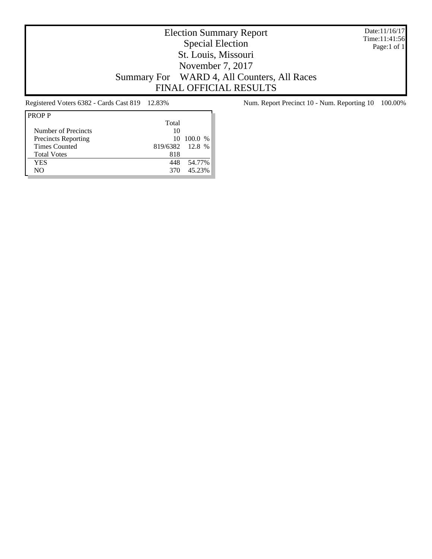Date:11/16/17 Time:11:41:56 Page:1 of 1

# Election Summary Report Special Election St. Louis, Missouri November 7, 2017 Summary For WARD 4, All Counters, All Races FINAL OFFICIAL RESULTS

| Total |                 |
|-------|-----------------|
| 10    |                 |
|       | 10, 100.0 %     |
|       |                 |
| 818   |                 |
| 448   | 54.77%          |
| 370   | 45.23%          |
|       | 819/6382 12.8 % |

Registered Voters 6382 - Cards Cast 819 12.83% Num. Report Precinct 10 - Num. Reporting 10 100.00%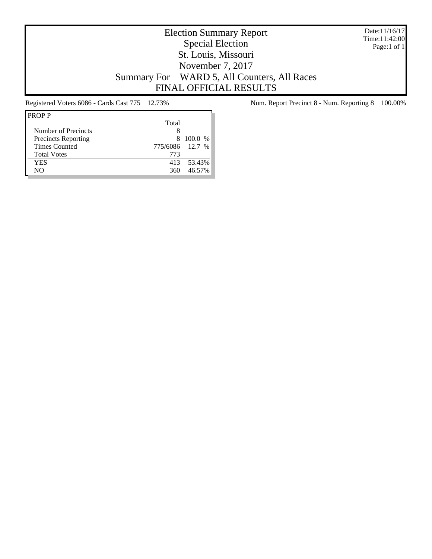Date:11/16/17 Time:11:42:00 Page:1 of 1

# Election Summary Report Special Election St. Louis, Missouri November 7, 2017 Summary For WARD 5, All Counters, All Races FINAL OFFICIAL RESULTS

| <b>PROPP</b>               |                 |           |
|----------------------------|-----------------|-----------|
|                            | Total           |           |
| Number of Precincts        | x               |           |
| <b>Precincts Reporting</b> |                 | 8 100.0 % |
| <b>Times Counted</b>       | 775/6086 12.7 % |           |
| <b>Total Votes</b>         | 773             |           |
| YES                        | 413             | 53.43%    |
| NΟ                         | 360             | 46.57%    |

Registered Voters 6086 - Cards Cast 775 12.73% Num. Report Precinct 8 - Num. Reporting 8 100.00%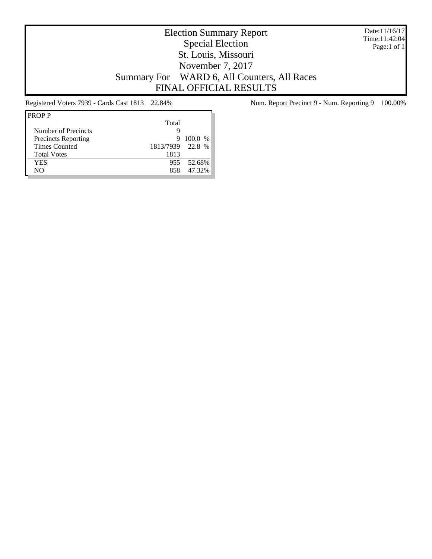Date:11/16/17 Time:11:42:04 Page:1 of 1

## Election Summary Report Special Election St. Louis, Missouri November 7, 2017 Summary For WARD 6, All Counters, All Races FINAL OFFICIAL RESULTS

| Total |                  |
|-------|------------------|
| g     |                  |
| 9     | 100.0 %          |
|       |                  |
| 1813  |                  |
| 955.  | 52.68%           |
| 858   | 47.32%           |
|       | 1813/7939 22.8 % |

Registered Voters 7939 - Cards Cast 1813 22.84% Num. Report Precinct 9 - Num. Reporting 9 100.00%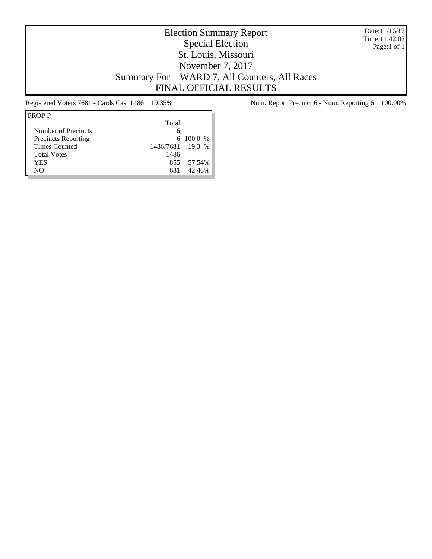Date:11/16/17 Time:11:42:07 Page:1 of 1

## Election Summary Report Special Election St. Louis, Missouri November 7, 2017 Summary For WARD 7, All Counters, All Races FINAL OFFICIAL RESULTS

| <b>PROPP</b>               |                  |              |
|----------------------------|------------------|--------------|
|                            | Total            |              |
| Number of Precincts        | 6                |              |
| <b>Precincts Reporting</b> |                  | $6\ 100.0\%$ |
| <b>Times Counted</b>       | 1486/7681 19.3 % |              |
| <b>Total Votes</b>         | 1486             |              |
| <b>YES</b>                 |                  | 855 57.54%   |
| NO                         | 631              | 42.46%       |
|                            |                  |              |

Registered Voters 7681 - Cards Cast 1486 19.35% Num. Report Precinct 6 - Num. Reporting 6 100.00%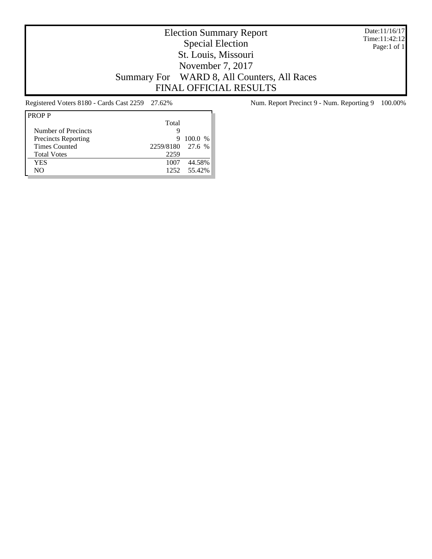Date:11/16/17 Time:11:42:12 Page:1 of 1

# Election Summary Report Special Election St. Louis, Missouri November 7, 2017 Summary For WARD 8, All Counters, All Races FINAL OFFICIAL RESULTS

| <b>PROPP</b>               |                  |             |
|----------------------------|------------------|-------------|
|                            | Total            |             |
| Number of Precincts        | g                |             |
| <b>Precincts Reporting</b> | 9                | $100.0\%$   |
| <b>Times Counted</b>       | 2259/8180 27.6 % |             |
| <b>Total Votes</b>         | 2259             |             |
| <b>YES</b>                 | 1007             | 44.58%      |
| NO                         |                  | 1252 55.42% |
|                            |                  |             |

Registered Voters 8180 - Cards Cast 2259 27.62% Num. Report Precinct 9 - Num. Reporting 9 100.00%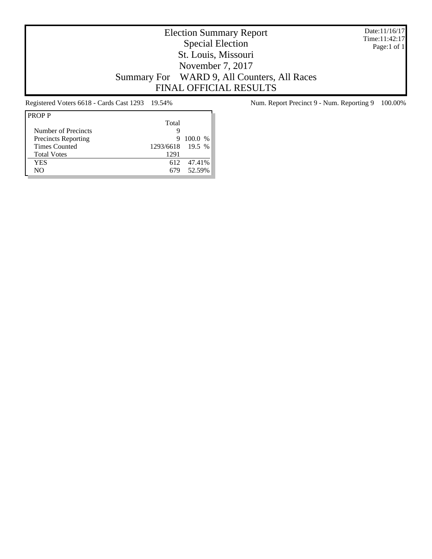Date:11/16/17 Time:11:42:17 Page:1 of 1

# Election Summary Report Special Election St. Louis, Missouri November 7, 2017 Summary For WARD 9, All Counters, All Races FINAL OFFICIAL RESULTS

| <b>PROPP</b>               |                  |           |
|----------------------------|------------------|-----------|
|                            | Total            |           |
| Number of Precincts        | g                |           |
| <b>Precincts Reporting</b> | 9                | $100.0\%$ |
| <b>Times Counted</b>       | 1293/6618 19.5 % |           |
| <b>Total Votes</b>         | 1291             |           |
| <b>YES</b>                 | 612              | 47.41%    |
| NO                         |                  | 52.59%    |
|                            |                  |           |

Registered Voters 6618 - Cards Cast 1293 19.54% Num. Report Precinct 9 - Num. Reporting 9 100.00%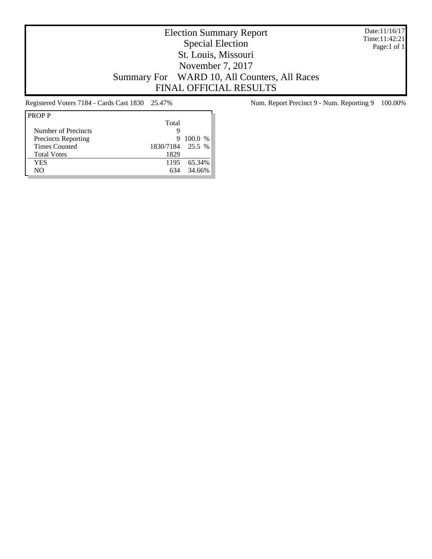Date:11/16/17 Time:11:42:21 Page:1 of 1

# Election Summary Report Special Election St. Louis, Missouri November 7, 2017 Summary For WARD 10, All Counters, All Races FINAL OFFICIAL RESULTS

| Total<br>Number of Precincts<br>g            |  |
|----------------------------------------------|--|
|                                              |  |
|                                              |  |
| <b>Precincts Reporting</b><br>$100.0\%$<br>9 |  |
| 1830/7184 25.5 %<br>Times Counted            |  |
| 1829<br><b>Total Votes</b>                   |  |
| <b>YES</b><br>65.34%<br>1195                 |  |
| 34.66%<br>NO                                 |  |

Registered Voters 7184 - Cards Cast 1830 25.47% Num. Report Precinct 9 - Num. Reporting 9 100.00%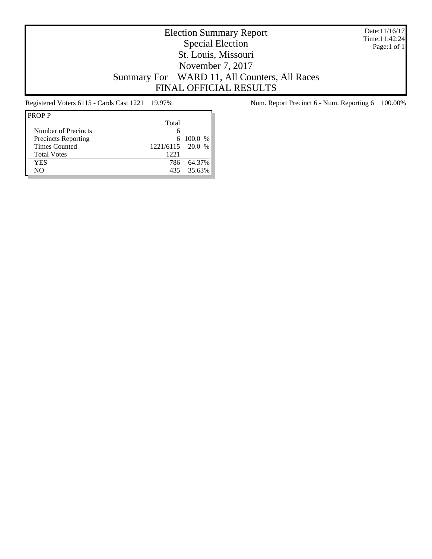Date:11/16/17 Time:11:42:24 Page:1 of 1

# Election Summary Report Special Election St. Louis, Missouri November 7, 2017 Summary For WARD 11, All Counters, All Races FINAL OFFICIAL RESULTS

| <b>PROPP</b>               |                |               |
|----------------------------|----------------|---------------|
|                            | Total          |               |
| Number of Precincts        |                |               |
| <b>Precincts Reporting</b> |                | $6\ 100.0\%$  |
| <b>Times Counted</b>       | 1221/6115 20.0 | $\frac{0}{6}$ |
| <b>Total Votes</b>         | 1221           |               |
| YES                        | 786            | 64.37%        |
| NΟ                         | 435.           | 35.63%        |

Registered Voters 6115 - Cards Cast 1221 19.97% Num. Report Precinct 6 - Num. Reporting 6 100.00%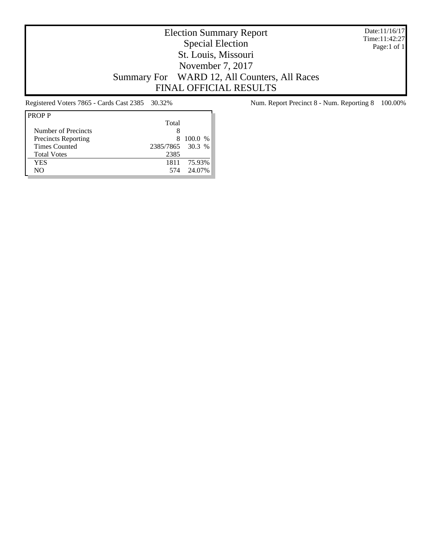Date:11/16/17 Time:11:42:27 Page:1 of 1

# Election Summary Report Special Election St. Louis, Missouri November 7, 2017 Summary For WARD 12, All Counters, All Races FINAL OFFICIAL RESULTS

| <b>PROPP</b>               |                  |         |
|----------------------------|------------------|---------|
|                            | Total            |         |
| Number of Precincts        |                  |         |
| <b>Precincts Reporting</b> | 8                | 100.0 % |
| <b>Times Counted</b>       | 2385/7865 30.3 % |         |
| <b>Total Votes</b>         | 2385             |         |
| <b>YES</b>                 | 1811             | 75.93%  |
| NO                         | 574              | 24.07%  |
|                            |                  |         |

Registered Voters 7865 - Cards Cast 2385 30.32% Num. Report Precinct 8 - Num. Reporting 8 100.00%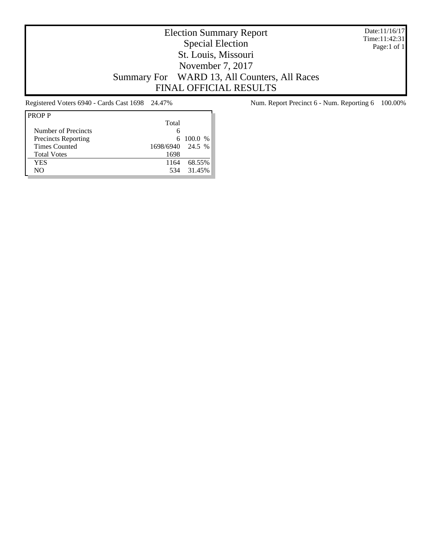Date:11/16/17 Time:11:42:31 Page:1 of 1

# Election Summary Report Special Election St. Louis, Missouri November 7, 2017 Summary For WARD 13, All Counters, All Races FINAL OFFICIAL RESULTS

| <b>PROPP</b>               |                  |                 |
|----------------------------|------------------|-----------------|
|                            | Total            |                 |
| Number of Precincts        | 6                |                 |
| <b>Precincts Reporting</b> |                  | $6\quad100.0\%$ |
| Times Counted              | 1698/6940 24.5 % |                 |
| <b>Total Votes</b>         | 1698             |                 |
| YES                        | 1164             | 68.55%          |
| NΟ                         | 534              | 31.45%          |
|                            |                  |                 |

Registered Voters 6940 - Cards Cast 1698 24.47% Num. Report Precinct 6 - Num. Reporting 6 100.00%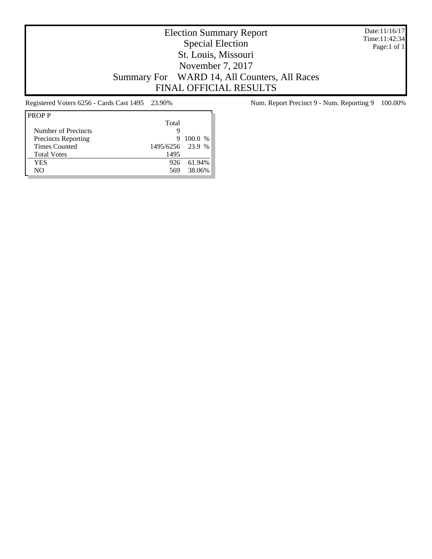Date:11/16/17 Time:11:42:34 Page:1 of 1

# Election Summary Report Special Election St. Louis, Missouri November 7, 2017 Summary For WARD 14, All Counters, All Races FINAL OFFICIAL RESULTS

| <b>PROPP</b>               |                  |           |
|----------------------------|------------------|-----------|
|                            | Total            |           |
| Number of Precincts        | g                |           |
| <b>Precincts Reporting</b> | 9                | $100.0\%$ |
| <b>Times Counted</b>       | 1495/6256 23.9 % |           |
| <b>Total Votes</b>         | 1495             |           |
| <b>YES</b>                 | 926              | 61.94%    |
| NO                         | 569              | 38.06%    |
|                            |                  |           |

Registered Voters 6256 - Cards Cast 1495 23.90% Num. Report Precinct 9 - Num. Reporting 9 100.00%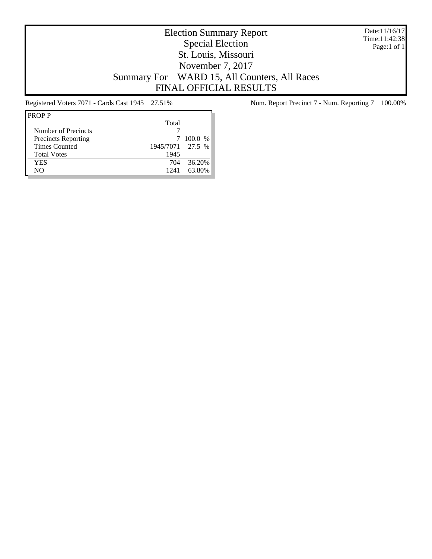Date:11/16/17 Time:11:42:38 Page:1 of 1

# Election Summary Report Special Election St. Louis, Missouri November 7, 2017 Summary For WARD 15, All Counters, All Races FINAL OFFICIAL RESULTS

| <b>PROPP</b>               |                  |           |
|----------------------------|------------------|-----------|
|                            | Total            |           |
| Number of Precincts        |                  |           |
| <b>Precincts Reporting</b> |                  | $100.0\%$ |
| Times Counted              | 1945/7071 27.5 % |           |
| <b>Total Votes</b>         | 1945             |           |
| <b>YES</b>                 | 704              | 36.20%    |
| NO                         | 1241             | 63.80%    |
|                            |                  |           |

Registered Voters 7071 - Cards Cast 1945 27.51% Num. Report Precinct 7 - Num. Reporting 7 100.00%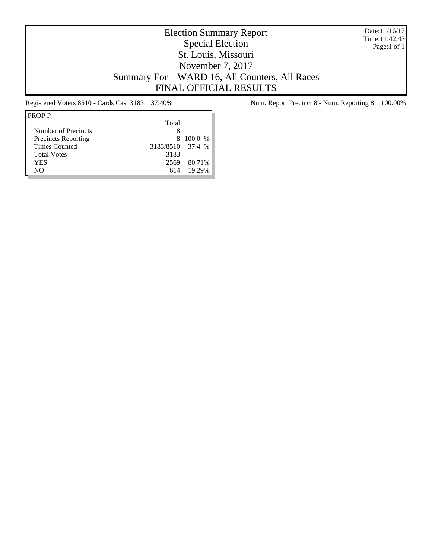Date:11/16/17 Time:11:42:43 Page:1 of 1

# Election Summary Report Special Election St. Louis, Missouri November 7, 2017 Summary For WARD 16, All Counters, All Races FINAL OFFICIAL RESULTS

| <b>PROPP</b>               |                  |           |
|----------------------------|------------------|-----------|
|                            | Total            |           |
| Number of Precincts        |                  |           |
| <b>Precincts Reporting</b> | 8                | $100.0\%$ |
| <b>Times Counted</b>       | 3183/8510 37.4 % |           |
| <b>Total Votes</b>         | 3183             |           |
| <b>YES</b>                 | 2569             | 80.71%    |
| NO                         | 614              | 19.29%    |
|                            |                  |           |

Registered Voters 8510 - Cards Cast 3183 37.40% Num. Report Precinct 8 - Num. Reporting 8 100.00%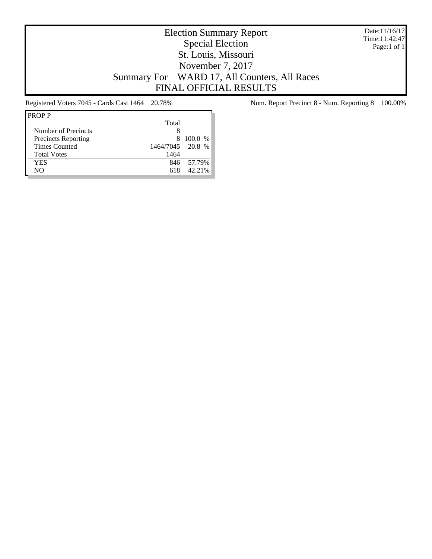Date:11/16/17 Time:11:42:47 Page:1 of 1

# Election Summary Report Special Election St. Louis, Missouri November 7, 2017 Summary For WARD 17, All Counters, All Races FINAL OFFICIAL RESULTS

| Total            |            |
|------------------|------------|
| 8                |            |
| 8                | 100.0 %    |
| 1464/7045 20.8 % |            |
| 1464             |            |
|                  | 846 57.79% |
| 618              | 42.21%     |
|                  |            |

Registered Voters 7045 - Cards Cast 1464 20.78% Num. Report Precinct 8 - Num. Reporting 8 100.00%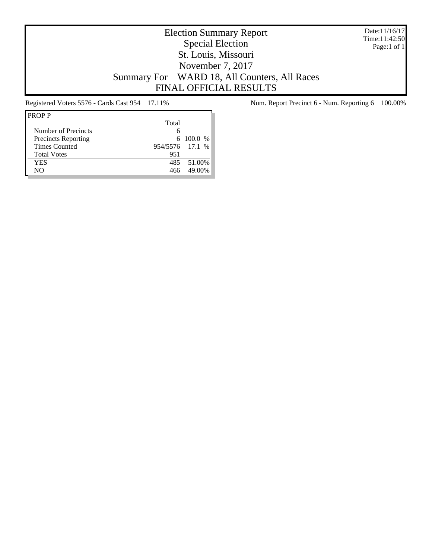Date:11/16/17 Time:11:42:50 Page:1 of 1

# Election Summary Report Special Election St. Louis, Missouri November 7, 2017 Summary For WARD 18, All Counters, All Races FINAL OFFICIAL RESULTS

| <b>PROPP</b>               |                 |            |  |
|----------------------------|-----------------|------------|--|
|                            | Total           |            |  |
| Number of Precincts        | 6               |            |  |
| <b>Precincts Reporting</b> |                 | 6 100.0 %  |  |
| <b>Times Counted</b>       | 954/5576 17.1 % |            |  |
| <b>Total Votes</b>         | 951             |            |  |
| YES                        |                 | 485 51.00% |  |
| NΟ                         | 466             | 49.00%     |  |

Registered Voters 5576 - Cards Cast 954 17.11% Num. Report Precinct 6 - Num. Reporting 6 100.00%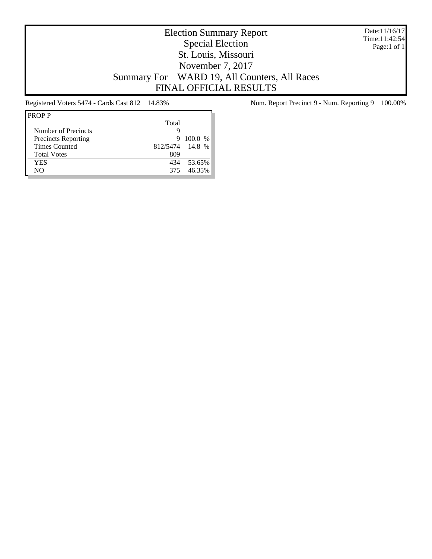Date:11/16/17 Time:11:42:54 Page:1 of 1

# Election Summary Report Special Election St. Louis, Missouri November 7, 2017 Summary For WARD 19, All Counters, All Races FINAL OFFICIAL RESULTS

| Total |        |                              |
|-------|--------|------------------------------|
| g     |        |                              |
| 9     |        |                              |
|       |        |                              |
| 809   |        |                              |
| 434   | 53.65% |                              |
| 375   | 46.35% |                              |
|       |        | $100.0\%$<br>812/5474 14.8 % |

Registered Voters 5474 - Cards Cast 812 14.83% Num. Report Precinct 9 - Num. Reporting 9 100.00%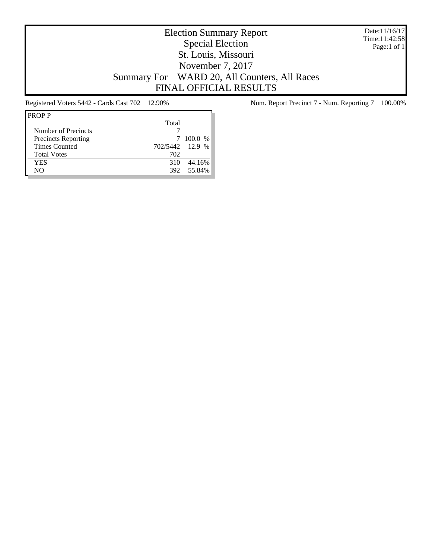Date:11/16/17 Time:11:42:58 Page:1 of 1

# Election Summary Report Special Election St. Louis, Missouri November 7, 2017 Summary For WARD 20, All Counters, All Races FINAL OFFICIAL RESULTS

| Total |                                                  |
|-------|--------------------------------------------------|
|       |                                                  |
|       |                                                  |
|       |                                                  |
| 702   |                                                  |
| 310   |                                                  |
| 392   |                                                  |
|       | $100.0\%$<br>702/5442 12.9 %<br>44.16%<br>55.84% |

Registered Voters 5442 - Cards Cast 702 12.90% Num. Report Precinct 7 - Num. Reporting 7 100.00%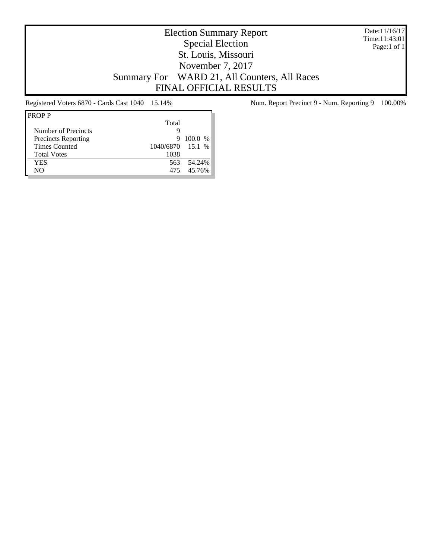Date:11/16/17 Time:11:43:01 Page:1 of 1

# Election Summary Report Special Election St. Louis, Missouri November 7, 2017 Summary For WARD 21, All Counters, All Races FINAL OFFICIAL RESULTS

| <b>PROPP</b>               |                  |           |
|----------------------------|------------------|-----------|
|                            | Total            |           |
| Number of Precincts        | Q                |           |
| <b>Precincts Reporting</b> | 9                | $100.0\%$ |
| <b>Times Counted</b>       | 1040/6870 15.1 % |           |
| <b>Total Votes</b>         | 1038             |           |
| <b>YES</b>                 | 563              | 54.24%    |
| NO                         | 475              | 45.76%    |
|                            |                  |           |

Registered Voters 6870 - Cards Cast 1040 15.14% Num. Report Precinct 9 - Num. Reporting 9 100.00%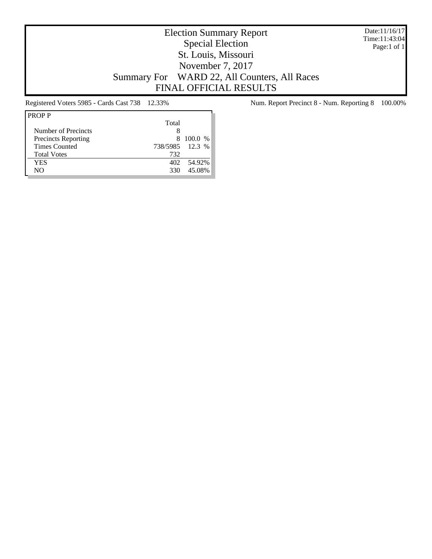Date:11/16/17 Time:11:43:04 Page:1 of 1

# Election Summary Report Special Election St. Louis, Missouri November 7, 2017 Summary For WARD 22, All Counters, All Races FINAL OFFICIAL RESULTS

| <b>PROPP</b>               |                 |           |
|----------------------------|-----------------|-----------|
|                            | Total           |           |
| Number of Precincts        | x               |           |
| <b>Precincts Reporting</b> |                 | 8 100.0 % |
| <b>Times Counted</b>       | 738/5985 12.3 % |           |
| <b>Total Votes</b>         | 732             |           |
| <b>YES</b>                 | 402.            | 54.92%    |
| NΟ                         | 330             | 45.08%    |
|                            |                 |           |

Registered Voters 5985 - Cards Cast 738 12.33% Num. Report Precinct 8 - Num. Reporting 8 100.00%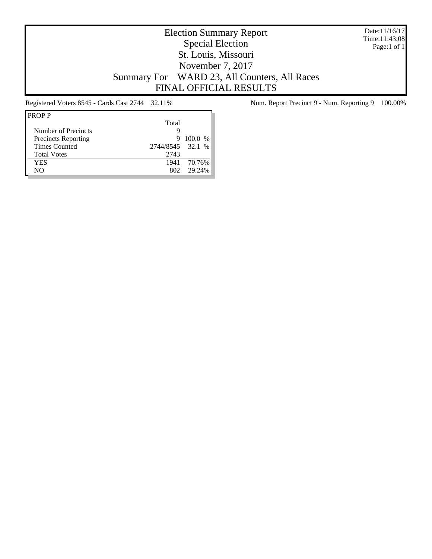Date:11/16/17 Time:11:43:08 Page:1 of 1

### Election Summary Report Special Election St. Louis, Missouri November 7, 2017 Summary For WARD 23, All Counters, All Races FINAL OFFICIAL RESULTS

| <b>PROPP</b>               |                  |           |
|----------------------------|------------------|-----------|
|                            | Total            |           |
| Number of Precincts        | g                |           |
| <b>Precincts Reporting</b> | 9                | $100.0\%$ |
| <b>Times Counted</b>       | 2744/8545 32.1 % |           |
| <b>Total Votes</b>         | 2743             |           |
| <b>YES</b>                 | 1941             | 70.76%    |
| NO                         |                  | 29 24%    |
|                            |                  |           |

Registered Voters 8545 - Cards Cast 2744 32.11% Num. Report Precinct 9 - Num. Reporting 9 100.00%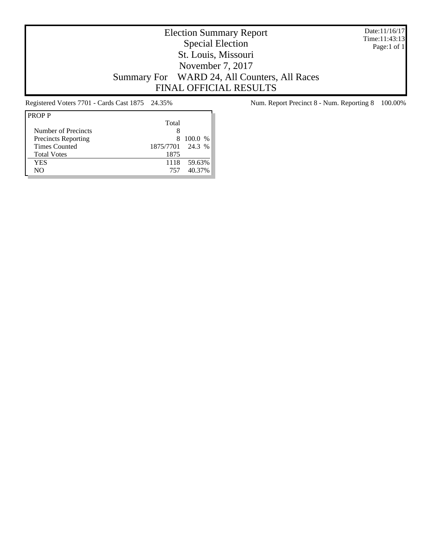Date:11/16/17 Time:11:43:13 Page:1 of 1

# Election Summary Report Special Election St. Louis, Missouri November 7, 2017 Summary For WARD 24, All Counters, All Races FINAL OFFICIAL RESULTS

| Total                                        |  |
|----------------------------------------------|--|
| Number of Precincts                          |  |
| <b>Precincts Reporting</b><br>$100.0\%$<br>8 |  |
| 1875/7701 24.3 %<br>Times Counted            |  |
| <b>Total Votes</b><br>1875                   |  |
| 59.63%<br><b>YES</b><br>1118                 |  |
| 40.37%<br>NO<br>757                          |  |

Registered Voters 7701 - Cards Cast 1875 24.35% Num. Report Precinct 8 - Num. Reporting 8 100.00%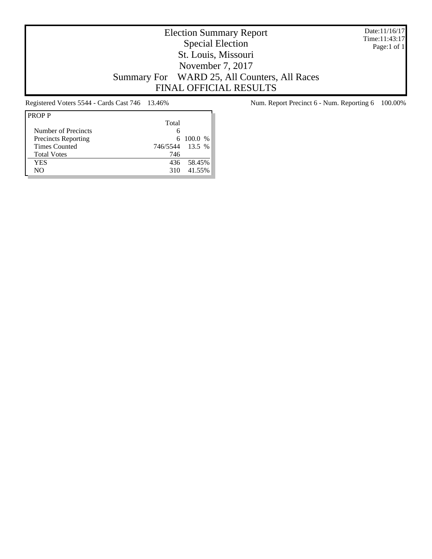Date:11/16/17 Time:11:43:17 Page:1 of 1

# Election Summary Report Special Election St. Louis, Missouri November 7, 2017 Summary For WARD 25, All Counters, All Races FINAL OFFICIAL RESULTS

| <b>PROPP</b>               |                 |              |
|----------------------------|-----------------|--------------|
|                            | Total           |              |
| Number of Precincts        | 6               |              |
| <b>Precincts Reporting</b> |                 | $6\ 100.0\%$ |
| <b>Times Counted</b>       | 746/5544 13.5 % |              |
| <b>Total Votes</b>         | 746             |              |
| <b>YES</b>                 | 436             | 58.45%       |
| NO                         | 310             | 41.55%       |
|                            |                 |              |

Registered Voters 5544 - Cards Cast 746 13.46% Num. Report Precinct 6 - Num. Reporting 6 100.00%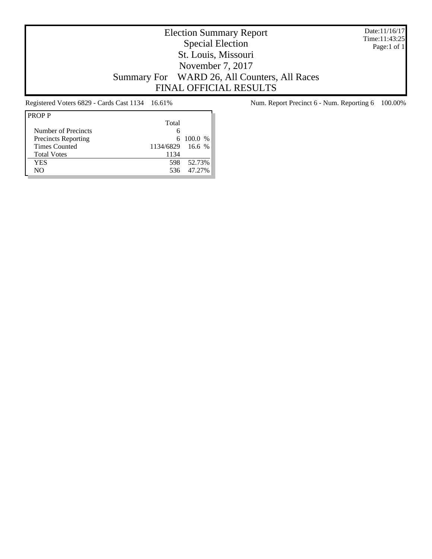Date:11/16/17 Time:11:43:25 Page:1 of 1

# Election Summary Report Special Election St. Louis, Missouri November 7, 2017 Summary For WARD 26, All Counters, All Races FINAL OFFICIAL RESULTS

| Total |                  |
|-------|------------------|
| 6     |                  |
|       | $6\quad100.0\%$  |
|       |                  |
| 1134  |                  |
| 598   | 52.73%           |
| 536   | 47.27%           |
|       | 1134/6829 16.6 % |

Registered Voters 6829 - Cards Cast 1134 16.61% Num. Report Precinct 6 - Num. Reporting 6 100.00%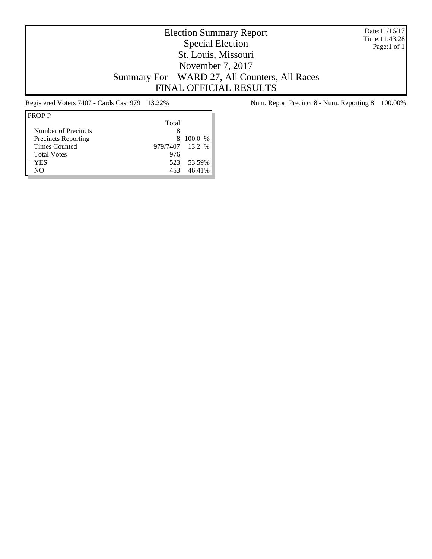Date:11/16/17 Time:11:43:28 Page:1 of 1

# Election Summary Report Special Election St. Louis, Missouri November 7, 2017 Summary For WARD 27, All Counters, All Races FINAL OFFICIAL RESULTS

| Total |                 |
|-------|-----------------|
|       |                 |
| 8     | 100.0 %         |
|       |                 |
| 976   |                 |
| 523   | 53.59%          |
| 453   | 46.41%          |
|       | 979/7407 13.2 % |

Registered Voters 7407 - Cards Cast 979 13.22% Num. Report Precinct 8 - Num. Reporting 8 100.00%